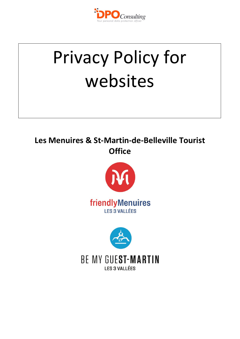

# Privacy Policy for websites

# **Les Menuires & St-Martin-de-Belleville Tourist Office**



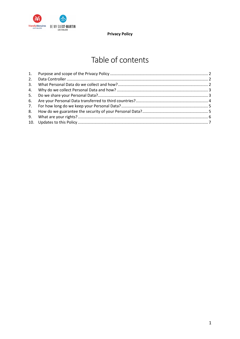

# Table of contents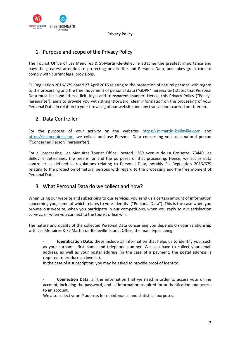

# <span id="page-2-0"></span>1. Purpose and scope of the Privacy Policy

The Tourist Office of Les Menuires & St-Martin-de-Belleville attaches the greatest importance and pays the greatest attention to protecting private life and Personal Data, and takes great care to comply with current legal provisions.

EU Regulation 2016/679 dated 27 April 2016 relating to the protection of natural persons with regard to the processing and the free movement of personal data ("GDPR" hereinafter) states that Personal Data must be handled in a licit, loyal and transparent manner. Hence, this Privacy Policy ("Policy" hereinafter), aims to provide you with straightforward, clear information on the processing of your Personal Data, in relation to your browsing of our website and any transactions carried out therein.

# <span id="page-2-1"></span>2. Data Controller

For the purposes of your activity on the websites [https://st-martin-belleville.com](https://st-martin-belleville.com/fr/) and [https://lesmenuires.com](https://lesmenuires.com/fr/), we collect and use Personal Data concerning you as a natural person ("Concerned Person" hereinafter).

For all processing, Les Menuires Tourist Office, located 1269 avenue de La Croisette, 73440 Les Belleville determines the means for and the purposes of that processing. Hence, we act as data controller as defined in regulations relating to Personal Data, notably EU Regulation 2016/679 relating to the protection of natural persons with regard to the processing and the free moment of Personal Data.

# <span id="page-2-2"></span>3. What Personal Data do we collect and how?

When using our website and subscribing to our services, you send us a certain amount of information concerning you, some of which relates to your identity. ("Personal Data"). This is the case when you browse our website, when you participate in our competitions, when you reply to our satisfaction surveys, or when you connect to the tourist office wifi.

The nature and quality of the collected Personal Data concerning you depends on your relationship with Les Menuires & St-Martin-de-Belleville Tourist Office, the main types being:

**Identification Data**: these include all information that helps us to identify you, such as your surname, first name and telephone number. We also have to collect your email address, as well as your postal address (in the case of a payment, the postal address is required to produce an invoice).

In the case of a subscription, you may be asked to provide proof of identity.

- **Connection Data**: all the information that we need in order to access your online account, including the password, and all information required for authentication and access to an account.

We also collect your IP address for maintenance and statistical purposes.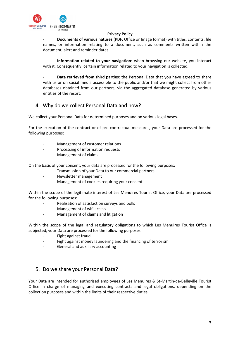

- **Documents of various natures** (PDF, Office or Image format) with titles, contents, file names, or information relating to a document, such as comments written within the document, alert and reminder dates.

- **Information related to your navigation**: when browsing our website, you interact with it. Consequently, certain information related to your navigation is collected.

Data retrieved from third parties: the Personal Data that you have agreed to share with us or on social media accessible to the public and/or that we might collect from other databases obtained from our partners, via the aggregated database generated by various entities of the resort.

# <span id="page-3-0"></span>4. Why do we collect Personal Data and how?

We collect your Personal Data for determined purposes and on various legal bases.

For the execution of the contract or of pre-contractual measures, your Data are processed for the following purposes:

- Management of customer relations
- Processing of information requests
- Management of claims

On the basis of your consent, your data are processed for the following purposes:

- Transmission of your Data to our commercial partners
- Newsletter management
- Management of cookies requiring your consent

Within the scope of the legitimate interest of Les Menuires Tourist Office, your Data are processed for the following purposes:

- Realisation of satisfaction surveys and polls
- Management of wifi access
- Management of claims and litigation

Within the scope of the legal and regulatory obligations to which Les Menuires Tourist Office is subjected, your Data are processed for the following purposes:

- Fight against fraud
- Fight against money laundering and the financing of terrorism
- General and auxiliary accounting

## <span id="page-3-1"></span>5. Do we share your Personal Data?

Your Data are intended for authorised employees of Les Menuires & St-Martin-de-Belleville Tourist Office in charge of managing and executing contracts and legal obligations, depending on the collection purposes and within the limits of their respective duties.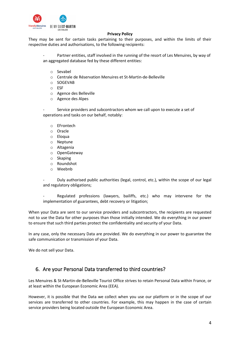

They may be sent for certain tasks pertaining to their purposes, and within the limits of their respective duties and authorisations, to the following recipients:

Partner entities, staff involved in the running of the resort of Les Menuires, by way of an aggregated database fed by these different entities:

- o Sevabel
- o Centrale de Réservation Menuires et St-Martin-de-Belleville
- o SOGEVAB
- o ESF
- o Agence des Belleville
- o Agence des Alpes

Service providers and subcontractors whom we call upon to execute a set of operations and tasks on our behalf, notably:

- o EFrontech
- o Oracle
- o Eloqua
- o Neptune
- o Altagenia
- o OpenGateway
- o Skaping
- o Roundshot
- o Weebnb

- Duly authorised public authorities (legal, control, etc.), within the scope of our legal and regulatory obligations;

Regulated professions (lawyers, bailiffs, etc.) who may intervene for the implementation of guarantees, debt recovery or litigation;

When your Data are sent to our service providers and subcontractors, the recipients are requested not to use the Data for other purposes than those initially intended. We do everything in our power to ensure that such third parties protect the confidentiality and security of your Data.

In any case, only the necessary Data are provided. We do everything in our power to guarantee the safe communication or transmission of your Data.

We do not sell your Data.

### <span id="page-4-0"></span>6. Are your Personal Data transferred to third countries?

Les Menuires & St-Martin-de-Belleville Tourist Office strives to retain Personal Data within France, or at least within the European Economic Area (EEA).

However, it is possible that the Data we collect when you use our platform or in the scope of our services are transferred to other countries. For example, this may happen in the case of certain service providers being located outside the European Economic Area.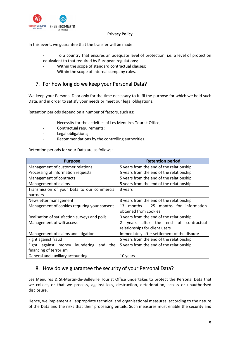

In this event, we guarantee that the transfer will be made:

- To a country that ensures an adequate level of protection, i.e. a level of protection equivalent to that required by European regulations;
- Within the scope of standard contractual clauses;
- Within the scope of internal company rules.

# <span id="page-5-0"></span>7. For how long do we keep your Personal Data?

We keep your Personal Data only for the time necessary to fulfil the purpose for which we hold such Data, and in order to satisfy your needs or meet our legal obligations.

Retention periods depend on a number of factors, such as:

- Necessity for the activities of Les Menuires Tourist Office;
- Contractual requirements;
- Legal obligations;
- Recommendations by the controlling authorities.

Retention periods for your Data are as follows:

| <b>Purpose</b>                                     | <b>Retention period</b>                     |
|----------------------------------------------------|---------------------------------------------|
| Management of customer relations                   | 5 years from the end of the relationship    |
| Processing of information requests                 | 5 years from the end of the relationship    |
| Management of contracts                            | 5 years from the end of the relationship    |
| Management of claims                               | 5 years from the end of the relationship    |
| Transmission of your Data to our commercial        | 3 years                                     |
| partners                                           |                                             |
| Newsletter management                              | 3 years from the end of the relationship    |
| Management of cookies requiring your consent       | months - 25 months for information<br>13    |
|                                                    | obtained from cookies                       |
| Realisation of satisfaction surveys and polls      | 3 years from the end of the relationship    |
| Management of wifi access                          | years after the end of<br>2<br>contractual  |
|                                                    | relationships for client users              |
| Management of claims and litigation                | Immediately after settlement of the dispute |
| Fight against fraud                                | 5 years from the end of the relationship    |
| laundering<br>against money<br>the<br>Fight<br>and | 5 years from the end of the relationship    |
| financing of terrorism                             |                                             |
| General and auxiliary accounting                   | 10 years                                    |

# <span id="page-5-1"></span>8. How do we guarantee the security of your Personal Data?

Les Menuires & St-Martin-de-Belleville Tourist Office undertakes to protect the Personal Data that we collect, or that we process, against loss, destruction, deterioration, access or unauthorised disclosure.

Hence, we implement all appropriate technical and organisational measures, according to the nature of the Data and the risks that their processing entails. Such measures must enable the security and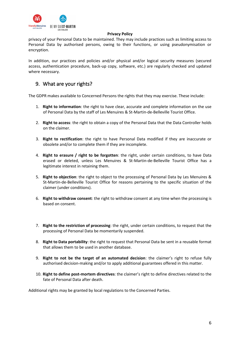

privacy of your Personal Data to be maintained. They may include practices such as limiting access to Personal Data by authorised persons, owing to their functions, or using pseudonymisation or encryption.

In addition, our practices and policies and/or physical and/or logical security measures (secured access, authentication procedure, back-up copy, software, etc.) are regularly checked and updated where necessary.

# <span id="page-6-0"></span>9. What are your rights?

The GDPR makes available to Concerned Persons the rights that they may exercise. These include:

- 1. **Right to information**: the right to have clear, accurate and complete information on the use of Personal Data by the staff of Les Menuires & St-Martin-de-Belleville Tourist Office.
- 2. **Right to access**: the right to obtain a copy of the Personal Data that the Data Controller holds on the claimer.
- 3. **Right to rectification**: the right to have Personal Data modified if they are inaccurate or obsolete and/or to complete them if they are incomplete.
- 4. **Right to erasure / right to be forgotten**: the right, under certain conditions, to have Data erased or deleted, unless Les Menuires & St-Martin-de-Belleville Tourist Office has a legitimate interest in retaining them.
- 5. **Right to objection**: the right to object to the processing of Personal Data by Les Menuires & St-Martin-de-Belleville Tourist Office for reasons pertaining to the specific situation of the claimer (under conditions).
- 6. **Right to withdraw consent**: the right to withdraw consent at any time when the processing is based on consent.
- 7. **Right to the restriction of processing**: the right, under certain conditions, to request that the processing of Personal Data be momentarily suspended.
- 8. **Right to Data portability**: the right to request that Personal Data be sent in a reusable format that allows them to be used in another database.
- 9. **Right to not be the target of an automated decision**: the claimer's right to refuse fully authorised decision-making and/or to apply additional guarantees offered in this matter.
- 10. **Right to define post-mortem directives**: the claimer's right to define directives related to the fate of Personal Data after death.

Additional rights may be granted by local regulations to the Concerned Parties.